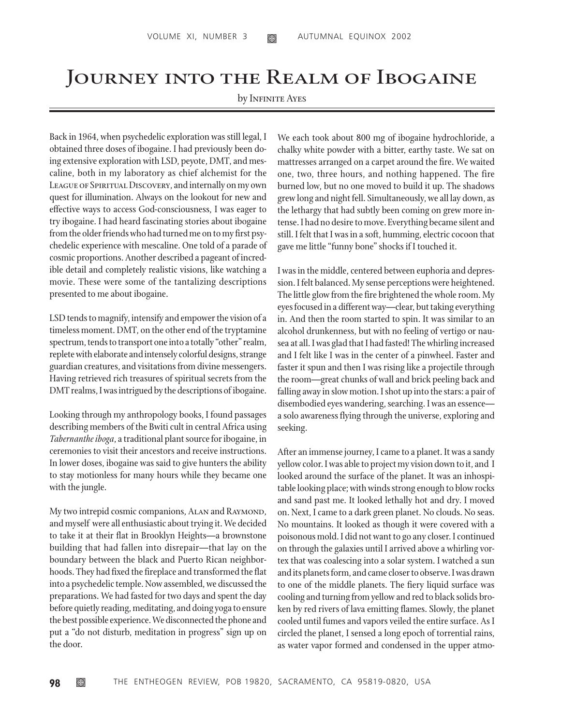## Journey into the Realm of Ibogaine

## by INFINITE AYES

Back in 1964, when psychedelic exploration was still legal, I obtained three doses of ibogaine. I had previously been doing extensive exploration with LSD, peyote, DMT, and mescaline, both in my laboratory as chief alchemist for the LEAGUE OF SPIRITUAL DISCOVERY, and internally on my own quest for illumination. Always on the lookout for new and effective ways to access God-consciousness, I was eager to try ibogaine. I had heard fascinating stories about ibogaine from the older friends who had turned me on to my first psychedelic experience with mescaline. One told of a parade of cosmic proportions. Another described a pageant of incredible detail and completely realistic visions, like watching a movie. These were some of the tantalizing descriptions presented to me about ibogaine.

LSD tends to magnify, intensify and empower the vision of a timeless moment. DMT, on the other end of the tryptamine spectrum, tends to transport one into a totally "other" realm, replete with elaborate and intensely colorful designs, strange guardian creatures, and visitations from divine messengers. Having retrieved rich treasures of spiritual secrets from the DMT realms, I was intrigued by the descriptions of ibogaine.

Looking through my anthropology books, I found passages describing members of the Bwiti cult in central Africa using *Tabernanthe iboga*, a traditional plant source for ibogaine, in ceremonies to visit their ancestors and receive instructions. In lower doses, ibogaine was said to give hunters the ability to stay motionless for many hours while they became one with the jungle.

My two intrepid cosmic companions, ALAN and RAYMOND, and myself were all enthusiastic about trying it. We decided to take it at their flat in Brooklyn Heights—a brownstone building that had fallen into disrepair—that lay on the boundary between the black and Puerto Rican neighborhoods. They had fixed the fireplace and transformed the flat into a psychedelic temple. Now assembled, we discussed the preparations. We had fasted for two days and spent the day before quietly reading, meditating, and doing yoga to ensure the best possible experience. We disconnected the phone and put a "do not disturb, meditation in progress" sign up on the door.

We each took about 800 mg of ibogaine hydrochloride, a chalky white powder with a bitter, earthy taste. We sat on mattresses arranged on a carpet around the fire. We waited one, two, three hours, and nothing happened. The fire burned low, but no one moved to build it up. The shadows grew long and night fell. Simultaneously, we all lay down, as the lethargy that had subtly been coming on grew more intense. I had no desire to move. Everything became silent and still. I felt that I was in a soft, humming, electric cocoon that gave me little "funny bone" shocks if I touched it.

I was in the middle, centered between euphoria and depression. I felt balanced. My sense perceptions were heightened. The little glow from the fire brightened the whole room. My eyes focused in a different way—clear, but taking everything in. And then the room started to spin. It was similar to an alcohol drunkenness, but with no feeling of vertigo or nausea at all. I was glad that I had fasted! The whirling increased and I felt like I was in the center of a pinwheel. Faster and faster it spun and then I was rising like a projectile through the room—great chunks of wall and brick peeling back and falling away in slow motion. I shot up into the stars: a pair of disembodied eyes wandering, searching. I was an essence a solo awareness flying through the universe, exploring and seeking.

After an immense journey, I came to a planet. It was a sandy yellow color. I was able to project my vision down to it, and I looked around the surface of the planet. It was an inhospitable looking place; with winds strong enough to blow rocks and sand past me. It looked lethally hot and dry. I moved on. Next, I came to a dark green planet. No clouds. No seas. No mountains. It looked as though it were covered with a poisonous mold. I did not want to go any closer. I continued on through the galaxies until I arrived above a whirling vortex that was coalescing into a solar system. I watched a sun and its planets form, and came closer to observe. I was drawn to one of the middle planets. The fiery liquid surface was cooling and turning from yellow and red to black solids broken by red rivers of lava emitting flames. Slowly, the planet cooled until fumes and vapors veiled the entire surface. As I circled the planet, I sensed a long epoch of torrential rains, as water vapor formed and condensed in the upper atmo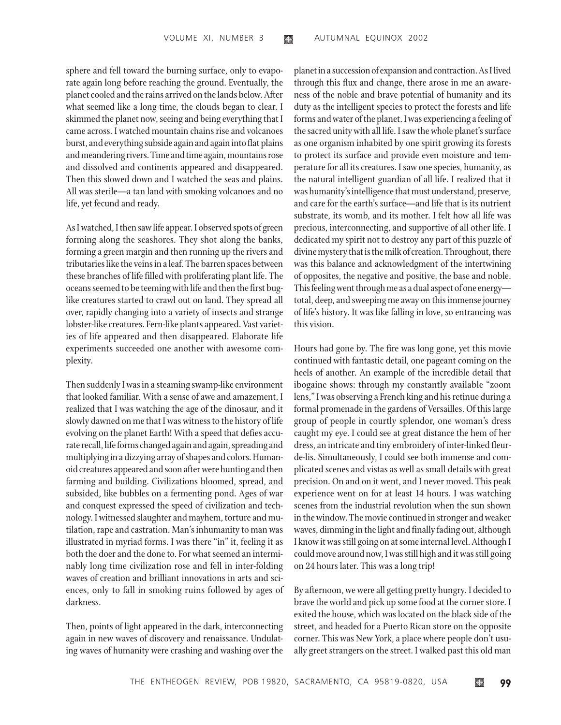sphere and fell toward the burning surface, only to evaporate again long before reaching the ground. Eventually, the planet cooled and the rains arrived on the lands below. After what seemed like a long time, the clouds began to clear. I skimmed the planet now, seeing and being everything that I came across. I watched mountain chains rise and volcanoes burst, and everything subside again and again into flat plains and meandering rivers. Time and time again, mountains rose and dissolved and continents appeared and disappeared. Then this slowed down and I watched the seas and plains. All was sterile—a tan land with smoking volcanoes and no life, yet fecund and ready.

As I watched, I then saw life appear. I observed spots of green forming along the seashores. They shot along the banks, forming a green margin and then running up the rivers and tributaries like the veins in a leaf. The barren spaces between these branches of life filled with proliferating plant life. The oceans seemed to be teeming with life and then the first buglike creatures started to crawl out on land. They spread all over, rapidly changing into a variety of insects and strange lobster-like creatures. Fern-like plants appeared. Vast varieties of life appeared and then disappeared. Elaborate life experiments succeeded one another with awesome complexity.

Then suddenly I was in a steaming swamp-like environment that looked familiar. With a sense of awe and amazement, I realized that I was watching the age of the dinosaur, and it slowly dawned on me that I was witness to the history of life evolving on the planet Earth! With a speed that defies accurate recall, life forms changed again and again, spreading and multiplying in a dizzying array of shapes and colors. Humanoid creatures appeared and soon after were hunting and then farming and building. Civilizations bloomed, spread, and subsided, like bubbles on a fermenting pond. Ages of war and conquest expressed the speed of civilization and technology. I witnessed slaughter and mayhem, torture and mutilation, rape and castration. Man's inhumanity to man was illustrated in myriad forms. I was there "in" it, feeling it as both the doer and the done to. For what seemed an interminably long time civilization rose and fell in inter-folding waves of creation and brilliant innovations in arts and sciences, only to fall in smoking ruins followed by ages of darkness.

Then, points of light appeared in the dark, interconnecting again in new waves of discovery and renaissance. Undulating waves of humanity were crashing and washing over the

planet in a succession of expansion and contraction. As I lived through this flux and change, there arose in me an awareness of the noble and brave potential of humanity and its duty as the intelligent species to protect the forests and life forms and water of the planet. I was experiencing a feeling of the sacred unity with all life. I saw the whole planet's surface as one organism inhabited by one spirit growing its forests to protect its surface and provide even moisture and temperature for all its creatures. I saw one species, humanity, as the natural intelligent guardian of all life. I realized that it was humanity's intelligence that must understand, preserve, and care for the earth's surface—and life that is its nutrient substrate, its womb, and its mother. I felt how all life was precious, interconnecting, and supportive of all other life. I dedicated my spirit not to destroy any part of this puzzle of divine mystery that is the milk of creation. Throughout, there was this balance and acknowledgment of the intertwining of opposites, the negative and positive, the base and noble. This feeling went through me as a dual aspect of one energy total, deep, and sweeping me away on this immense journey of life's history. It was like falling in love, so entrancing was this vision.

Hours had gone by. The fire was long gone, yet this movie continued with fantastic detail, one pageant coming on the heels of another. An example of the incredible detail that ibogaine shows: through my constantly available "zoom lens," I was observing a French king and his retinue during a formal promenade in the gardens of Versailles. Of this large group of people in courtly splendor, one woman's dress caught my eye. I could see at great distance the hem of her dress, an intricate and tiny embroidery of inter-linked fleurde-lis. Simultaneously, I could see both immense and complicated scenes and vistas as well as small details with great precision. On and on it went, and I never moved. This peak experience went on for at least 14 hours. I was watching scenes from the industrial revolution when the sun shown in the window. The movie continued in stronger and weaker waves, dimming in the light and finally fading out, although I know it was still going on at some internal level. Although I could move around now, I was still high and it was still going on 24 hours later. This was a long trip!

By afternoon, we were all getting pretty hungry. I decided to brave the world and pick up some food at the corner store. I exited the house, which was located on the black side of the street, and headed for a Puerto Rican store on the opposite corner. This was New York, a place where people don't usually greet strangers on the street. I walked past this old man